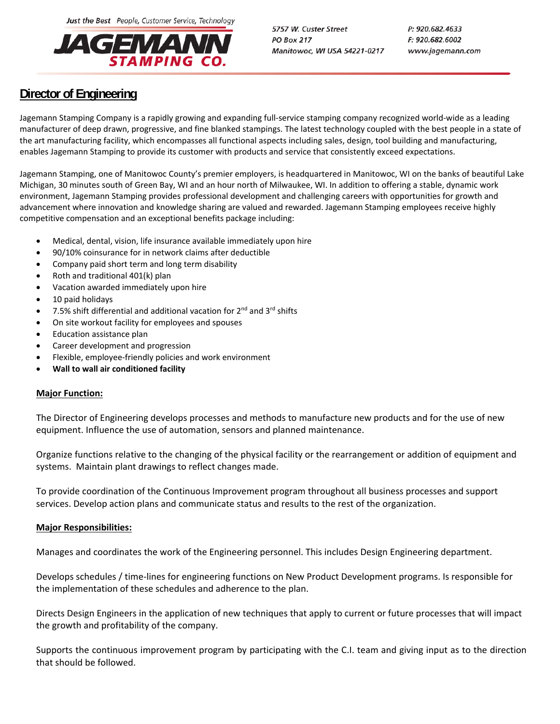Just the Best People, Customer Service, Technology



5757 W. Custer Street **PO Box 217** Manitowoc, WI USA 54221-0217 P: 920.682.4633 F: 920.682.6002 www.jagemann.com

## **Director of Engineering**

Jagemann Stamping Company is a rapidly growing and expanding full‐service stamping company recognized world‐wide as a leading manufacturer of deep drawn, progressive, and fine blanked stampings. The latest technology coupled with the best people in a state of the art manufacturing facility, which encompasses all functional aspects including sales, design, tool building and manufacturing, enables Jagemann Stamping to provide its customer with products and service that consistently exceed expectations.

Jagemann Stamping, one of Manitowoc County's premier employers, is headquartered in Manitowoc, WI on the banks of beautiful Lake Michigan, 30 minutes south of Green Bay, WI and an hour north of Milwaukee, WI. In addition to offering a stable, dynamic work environment, Jagemann Stamping provides professional development and challenging careers with opportunities for growth and advancement where innovation and knowledge sharing are valued and rewarded. Jagemann Stamping employees receive highly competitive compensation and an exceptional benefits package including:

- Medical, dental, vision, life insurance available immediately upon hire
- 90/10% coinsurance for in network claims after deductible
- Company paid short term and long term disability
- Roth and traditional 401(k) plan
- Vacation awarded immediately upon hire
- 10 paid holidays
- 7.5% shift differential and additional vacation for  $2^{nd}$  and  $3^{rd}$  shifts
- On site workout facility for employees and spouses
- Education assistance plan
- Career development and progression
- Flexible, employee‐friendly policies and work environment
- **Wall to wall air conditioned facility**

## **Major Function:**

The Director of Engineering develops processes and methods to manufacture new products and for the use of new equipment. Influence the use of automation, sensors and planned maintenance.

Organize functions relative to the changing of the physical facility or the rearrangement or addition of equipment and systems. Maintain plant drawings to reflect changes made.

To provide coordination of the Continuous Improvement program throughout all business processes and support services. Develop action plans and communicate status and results to the rest of the organization.

## **Major Responsibilities:**

Manages and coordinates the work of the Engineering personnel. This includes Design Engineering department.

Develops schedules / time‐lines for engineering functions on New Product Development programs. Is responsible for the implementation of these schedules and adherence to the plan.

Directs Design Engineers in the application of new techniques that apply to current or future processes that will impact the growth and profitability of the company.

Supports the continuous improvement program by participating with the C.I. team and giving input as to the direction that should be followed.